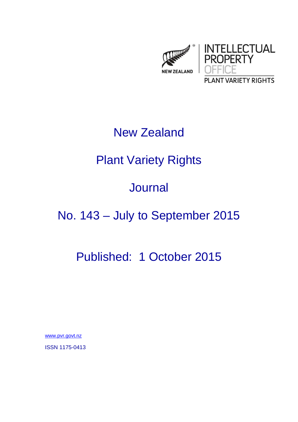

### New Zealand

## Plant Variety Rights

### Journal

# No. 143 – July to September 2015

## Published: 1 October 2015

www.pvr.govt.nz

ISSN 1175-0413